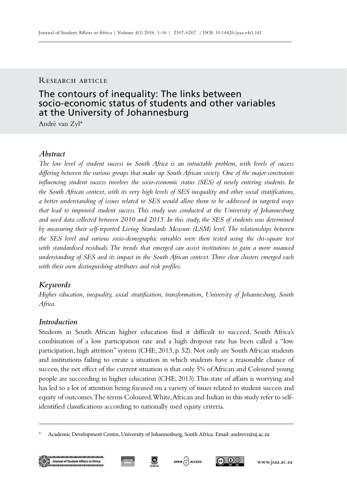### RESEARCH ARTICLE

# The contours of inequality: The links between socio-economic status of students and other variables at the University of Johannesburg

André van Zyl\*

# *Abstract*

*The low level of student success in South Africa is an intractable problem, with levels of success differing between the various groups that make up South African society. One of the major constraints influencing student success involves the socio-economic status (SES) of newly entering students. In the South African context, with its very high levels of SES inequality and other social stratifications, a better understanding of issues related to SES would allow them to be addressed in targeted ways that lead to improved student success. This study was conducted at the University of Johannesburg and used data collected between 2010 and 2015. In this study, the SES of students was determined by measuring their self-reported Living Standards Measure (LSM) level. The relationships between the SES level and various socio-demographic variables were then tested using the chi-square test with standardised residuals. The trends that emerged can assist institutions to gain a more nuanced understanding of SES and its impact in the South African context. Three clear clusters emerged each with their own distinguishing attributes and risk profiles.*

# *Keywords*

*Higher education, inequality, social stratification, transformation, University of Johannesburg, South Africa.*

# *Introduction*

Students in South African higher education find it difficult to succeed. South Africa's combination of a low participation rate and a high dropout rate has been called a "low participation, high attrition" system (CHE, 2013, p. 52). Not only are South African students and institutions failing to create a situation in which students have a reasonable chance of success, the net effect of the current situation is that only 5% of African and Coloured young people are succeeding in higher education (CHE, 2013). This state of affairs is worrying and has led to a lot of attention being focused on a variety of issues related to student success and equity of outcomes. The terms Coloured, White, African and Indian in this study refer to selfidentified classifications according to nationally used equity criteria.

<sup>\*</sup> Academic Development Centre, University of Johannesburg, South Africa. Email: andrevz@uj.ac.za









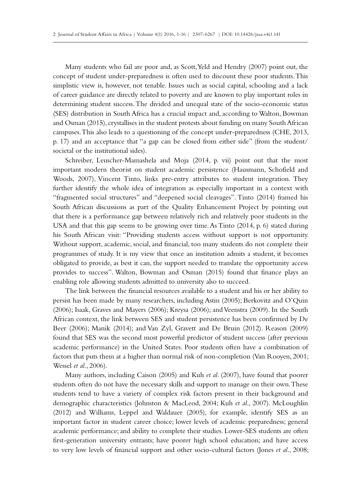Many students who fail are poor and, as Scott, Yeld and Hendry (2007) point out, the concept of student under-preparedness is often used to discount these poor students. This simplistic view is, however, not tenable. Issues such as social capital, schooling and a lack of career guidance are directly related to poverty and are known to play important roles in determining student success. The divided and unequal state of the socio-economic status (SES) distribution in South Africa has a crucial impact and, according to Walton, Bowman and Osman (2015), crystallises in the student protests about funding on many South African campuses. This also leads to a questioning of the concept under-preparedness (CHE, 2013, p. 17) and an acceptance that "a gap can be closed from either side" (from the student/ societal or the institutional sides).

Schreiber, Leuscher-Mamashela and Moja (2014, p. vii) point out that the most important modern theorist on student academic persistence (Hausmann, Schofield and Woods, 2007), Vincent Tinto, links pre-entry attributes to student integration. They further identify the whole idea of integration as especially important in a context with "fragmented social structures" and "deepened social cleavages". Tinto (2014) framed his South African discussions as part of the Quality Enhancement Project by pointing out that there is a performance gap between relatively rich and relatively poor students in the USA and that this gap seems to be growing over time. As Tinto (2014, p. 6) stated during his South African visit: "Providing students access without support is not opportunity. Without support, academic, social, and financial, too many students do not complete their programmes of study. It is my view that once an institution admits a student, it becomes obligated to provide, as best it can, the support needed to translate the opportunity access provides to success". Walton, Bowman and Osman (2015) found that finance plays an enabling role allowing students admitted to university also to succeed.

The link between the financial resources available to a student and his or her ability to persist has been made by many researchers, including Astin (2005); Berkovitz and O'Quin (2006); Isaak, Graves and Mayers (2006); Kreysa (2006); and Veenstra (2009). In the South African context, the link between SES and student persistence has been confirmed by De Beer (2006); Manik (2014); and Van Zyl, Gravett and De Bruin (2012). Reason (2009) found that SES was the second most powerful predictor of student success (after previous academic performance) in the United States. Poor students often have a combination of factors that puts them at a higher than normal risk of non-completion (Van Rooyen, 2001; Wessel *et al*., 2006).

Many authors, including Caison (2005) and Kuh *et al*. (2007), have found that poorer students often do not have the necessary skills and support to manage on their own. These students tend to have a variety of complex risk factors present in their background and demographic characteristics (Johnston & MacLeod, 2004; Kuh *et al*., 2007). McLoughlin (2012) and Williams, Leppel and Waldauer (2005), for example, identify SES as an important factor in student career choice; lower levels of academic preparedness; general academic performance; and ability to complete their studies. Lower-SES students are often first-generation university entrants; have poorer high school education; and have access to very low levels of financial support and other socio-cultural factors (Jones *et al*., 2008;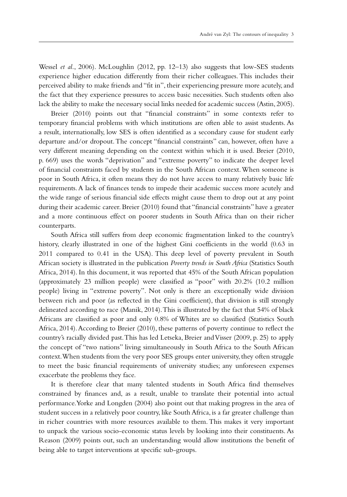Wessel *et al*., 2006). McLoughlin (2012, pp. 12–13) also suggests that low-SES students experience higher education differently from their richer colleagues. This includes their perceived ability to make friends and "fit in", their experiencing pressure more acutely, and the fact that they experience pressures to access basic necessities. Such students often also lack the ability to make the necessary social links needed for academic success (Astin, 2005).

Breier (2010) points out that "financial constraints" in some contexts refer to temporary financial problems with which institutions are often able to assist students. As a result, internationally, low SES is often identified as a secondary cause for student early departure and/or dropout. The concept "financial constraints" can, however, often have a very different meaning depending on the context within which it is used. Breier (2010, p. 669) uses the words "deprivation" and "extreme poverty" to indicate the deeper level of financial constraints faced by students in the South African context. When someone is poor in South Africa, it often means they do not have access to many relatively basic life requirements. A lack of finances tends to impede their academic success more acutely and the wide range of serious financial side effects might cause them to drop out at any point during their academic career. Breier (2010) found that "financial constraints" have a greater and a more continuous effect on poorer students in South Africa than on their richer counterparts.

South Africa still suffers from deep economic fragmentation linked to the country's history, clearly illustrated in one of the highest Gini coefficients in the world (0.63 in 2011 compared to 0.41 in the USA). This deep level of poverty prevalent in South African society is illustrated in the publication *Poverty trends in South Africa* (Statistics South Africa, 2014). In this document, it was reported that 45% of the South African population (approximately 23 million people) were classified as "poor" with 20.2% (10.2 million people) living in "extreme poverty". Not only is there an exceptionally wide division between rich and poor (as reflected in the Gini coefficient), that division is still strongly delineated according to race (Manik, 2014). This is illustrated by the fact that 54% of black Africans are classified as poor and only 0.8% of Whites are so classified (Statistics South Africa, 2014). According to Breier (2010), these patterns of poverty continue to reflect the country's racially divided past. This has led Letseka, Breier and Visser (2009, p. 25) to apply the concept of "two nations" living simultaneously in South Africa to the South African context. When students from the very poor SES groups enter university, they often struggle to meet the basic financial requirements of university studies; any unforeseen expenses exacerbate the problems they face.

It is therefore clear that many talented students in South Africa find themselves constrained by finances and, as a result, unable to translate their potential into actual performance. Yorke and Longden (2004) also point out that making progress in the area of student success in a relatively poor country, like South Africa, is a far greater challenge than in richer countries with more resources available to them. This makes it very important to unpack the various socio-economic status levels by looking into their constituents. As Reason (2009) points out, such an understanding would allow institutions the benefit of being able to target interventions at specific sub-groups.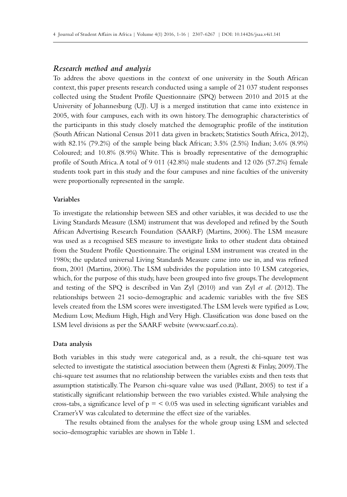#### *Research method and analysis*

To address the above questions in the context of one university in the South African context, this paper presents research conducted using a sample of 21 037 student responses collected using the Student Profile Questionnaire (SPQ) between 2010 and 2015 at the University of Johannesburg (UJ). UJ is a merged institution that came into existence in 2005, with four campuses, each with its own history. The demographic characteristics of the participants in this study closely matched the demographic profile of the institution (South African National Census 2011 data given in brackets; Statistics South Africa, 2012), with 82.1% (79.2%) of the sample being black African; 3.5% (2.5%) Indian; 3.6% (8.9%) Coloured; and 10.8% (8.9%) White. This is broadly representative of the demographic profile of South Africa. A total of 9 011 (42.8%) male students and 12 026 (57.2%) female students took part in this study and the four campuses and nine faculties of the university were proportionally represented in the sample.

#### **Variables**

To investigate the relationship between SES and other variables, it was decided to use the Living Standards Measure (LSM) instrument that was developed and refined by the South African Advertising Research Foundation (SAARF) (Martins, 2006). The LSM measure was used as a recognised SES measure to investigate links to other student data obtained from the Student Profile Questionnaire. The original LSM instrument was created in the 1980s; the updated universal Living Standards Measure came into use in, and was refined from, 2001 (Martins, 2006). The LSM subdivides the population into 10 LSM categories, which, for the purpose of this study, have been grouped into five groups. The development and testing of the SPQ is described in Van Zyl (2010) and van Zyl *et al*. (2012). The relationships between 21 socio-demographic and academic variables with the five SES levels created from the LSM scores were investigated. The LSM levels were typified as Low, Medium Low, Medium High, High and Very High. Classification was done based on the LSM level divisions as per the SAARF website (www.saarf.co.za).

#### **Data analysis**

Both variables in this study were categorical and, as a result, the chi-square test was selected to investigate the statistical association between them (Agresti & Finlay, 2009). The chi-square test assumes that no relationship between the variables exists and then tests that assumption statistically. The Pearson chi-square value was used (Pallant, 2005) to test if a statistically significant relationship between the two variables existed. While analysing the cross-tabs, a significance level of  $p = 0.05$  was used in selecting significant variables and Cramer's V was calculated to determine the effect size of the variables.

The results obtained from the analyses for the whole group using LSM and selected socio-demographic variables are shown in Table 1.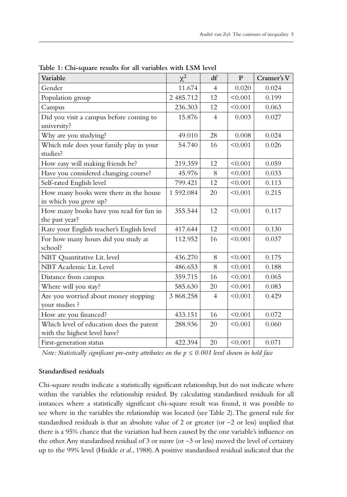| Variable                                                                 | $\chi^2$  | df             | $\mathbf{P}$ | Cramer's V |
|--------------------------------------------------------------------------|-----------|----------------|--------------|------------|
| Gender                                                                   | 11.674    | $\overline{4}$ | 0.020        | 0.024      |
| Population group                                                         | 2 485.712 | 12             | < 0.001      | 0.199      |
| Campus                                                                   | 236.303   | 12             | < 0.001      | 0.063      |
| Did you visit a campus before coming to<br>university?                   | 15.876    | $\overline{4}$ | 0.003        | 0.027      |
| Why are you studying?                                                    | 49.010    | 28             | 0.008        | 0.024      |
| Which role does your family play in your<br>studies?                     | 54.740    | 16             | < 0.001      | 0.026      |
| How easy will making friends be?                                         | 219.359   | 12             | < 0.001      | 0.059      |
| Have you considered changing course?                                     | 45.976    | 8              | < 0.001      | 0.033      |
| Self-rated English level                                                 | 799.421   | 12             | < 0.001      | 0.113      |
| How many books were there in the house<br>in which you grew up?          | 1 592.084 | 20             | < 0.001      | 0.215      |
| How many books have you read for fun in<br>the past year?                | 355.544   | 12             | < 0.001      | 0.117      |
| Rate your English teacher's English level                                | 417.644   | 12             | < 0.001      | 0.130      |
| For how many hours did you study at<br>school?                           | 112.952   | 16             | < 0.001      | 0.037      |
| NBT Quantitative Lit. level                                              | 436.270   | 8              | < 0.001      | 0.175      |
| NBT Academic Lit. Level                                                  | 486.653   | 8              | < 0.001      | 0.188      |
| Distance from campus                                                     | 359.715   | 16             | < 0.001      | 0.065      |
| Where will you stay?                                                     | 585.630   | 20             | < 0.001      | 0.083      |
| Are you worried about money stopping<br>your studies ?                   | 3 868.258 | $\overline{4}$ | < 0.001      | 0.429      |
| How are you financed?                                                    | 433.151   | 16             | < 0.001      | 0.072      |
| Which level of education does the parent<br>with the highest level have? | 288.936   | 20             | < 0.001      | 0.060      |
| First-generation status                                                  | 422.394   | 20             | < 0.001      | 0.071      |

**Table 1: Chi-square results for all variables with LSM level**

*Note: Statistically significant pre-entry attributes on the p ≤ 0.001 level shown in bold face*

#### **Standardised residuals**

Chi-square results indicate a statistically significant relationship, but do not indicate where within the variables the relationship resided. By calculating standardised residuals for all instances where a statistically significant chi-square result was found, it was possible to see where in the variables the relationship was located (see Table 2). The general rule for standardised residuals is that an absolute value of 2 or greater (or  $-2$  or less) implied that there is a 95% chance that the variation had been caused by the one variable's influence on the other. Any standardised residual of 3 or more (or  $-3$  or less) moved the level of certainty up to the 99% level (Hinkle *et al*., 1988). A positive standardised residual indicated that the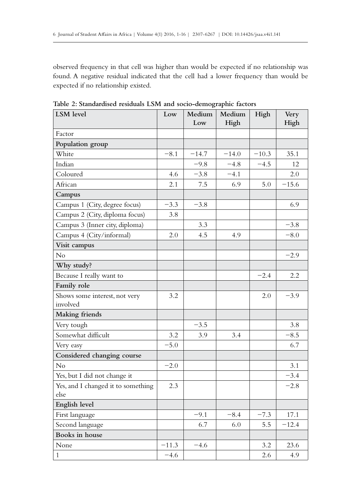observed frequency in that cell was higher than would be expected if no relationship was found. A negative residual indicated that the cell had a lower frequency than would be expected if no relationship existed.

| LSM level                                  | Low     | Medium<br>Low | Medium<br>High | High    | Very<br>High |
|--------------------------------------------|---------|---------------|----------------|---------|--------------|
| Factor                                     |         |               |                |         |              |
| Population group                           |         |               |                |         |              |
| White                                      | $-8.1$  | $-14.7$       | $-14.0$        | $-10.3$ | 35.1         |
| Indian                                     |         | $-9.8$        | $-4.8$         | $-4.5$  | 12           |
| Coloured                                   | 4.6     | $-3.8$        | $-4.1$         |         | 2.0          |
| African                                    | 2.1     | 7.5           | 6.9            | 5.0     | $-15.6$      |
| Campus                                     |         |               |                |         |              |
| Campus 1 (City, degree focus)              | $-3.3$  | $-3.8$        |                |         | 6.9          |
| Campus 2 (City, diploma focus)             | 3.8     |               |                |         |              |
| Campus 3 (Inner city, diploma)             |         | 3.3           |                |         | $-3.8$       |
| Campus 4 (City/informal)                   | 2.0     | 4.5           | 4.9            |         | $-8.0$       |
| Visit campus                               |         |               |                |         |              |
| No                                         |         |               |                |         | $-2.9$       |
| Why study?                                 |         |               |                |         |              |
| Because I really want to                   |         |               |                | $-2.4$  | 2.2          |
| Family role                                |         |               |                |         |              |
| Shows some interest, not very<br>involved  | 3.2     |               |                | 2.0     | $-3.9$       |
| Making friends                             |         |               |                |         |              |
| Very tough                                 |         | $-3.5$        |                |         | 3.8          |
| Somewhat difficult                         | 3.2     | 3.9           | 3.4            |         | $-8.5$       |
| Very easy                                  | $-5.0$  |               |                |         | 6.7          |
| Considered changing course                 |         |               |                |         |              |
| No                                         | $-2.0$  |               |                |         | 3.1          |
| Yes, but I did not change it               |         |               |                |         | $-3.4$       |
| Yes, and I changed it to something<br>else | 2.3     |               |                |         | $-2.8$       |
| English level                              |         |               |                |         |              |
| First language                             |         | $-9.1$        | $-8.4$         | $-7.3$  | 17.1         |
| Second language                            |         | 6.7           | 6.0            | 5.5     | $-12.4$      |
| Books in house                             |         |               |                |         |              |
| None                                       | $-11.3$ | $-4.6$        |                | 3.2     | 23.6         |
| $\mathbf{1}$                               | $-4.6$  |               |                | 2.6     | 4.9          |

**Table 2: Standardised residuals LSM and socio-demographic factors**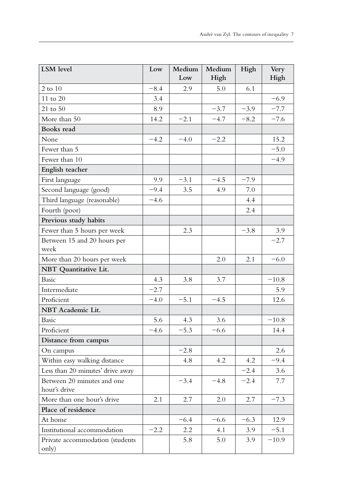| LSM level                                  | Low    | Medium<br>Low | Medium<br>High | High   | Very<br>High |
|--------------------------------------------|--------|---------------|----------------|--------|--------------|
| 2 to 10                                    | $-8.4$ | 2.9           | 5.0            | 6.1    |              |
| 11 to 20                                   | 3.4    |               |                |        | $-6.9$       |
| 21 to 50                                   | 8.9    |               | $-3.7$         | $-3.9$ | $-7.7$       |
| More than 50                               | 14.2   | $-2.1$        | $-4.7$         | $-8.2$ | $-7.6$       |
| Books read                                 |        |               |                |        |              |
| None                                       | $-4.2$ | $-4.0$        | $-2.2$         |        | 15.2         |
| Fewer than 5                               |        |               |                |        | $-5.0$       |
| Fewer than 10                              |        |               |                |        | $-4.9$       |
| English teacher                            |        |               |                |        |              |
| First language                             | 9.9    | $-3.1$        | $-4.5$         | $-7.9$ |              |
| Second language (good)                     | $-9.4$ | 3.5           | 4.9            | 7.0    |              |
| Third language (reasonable)                | $-4.6$ |               |                | 4.4    |              |
| Fourth (poor)                              |        |               |                | 2.4    |              |
| Previous study habits                      |        |               |                |        |              |
| Fewer than 5 hours per week                |        | 2.3           |                | $-3.8$ | 3.9          |
| Between 15 and 20 hours per                |        |               |                |        | $-2.7$       |
| week                                       |        |               |                |        |              |
| More than 20 hours per week                |        |               | 2.0            | 2.1    | $-6.0$       |
| NBT Quantitative Lit.                      |        |               |                |        |              |
| <b>Basic</b>                               | 4.3    | 3.8           | 3.7            |        | $-10.8$      |
| Intermediate                               | $-2.7$ |               |                |        | 5.9          |
| Proficient                                 | $-4.0$ | $-5.1$        | $-4.5$         |        | 12.6         |
| NBT Academic Lit.                          |        |               |                |        |              |
| <b>Basic</b>                               | 5.6    | 4.3           | 3.6            |        | $-10.8$      |
| Proficient                                 | $-4.6$ | $-5.3$        | $-6.6$         |        | 14.4         |
| Distance from campus                       |        |               |                |        |              |
| On campus                                  |        | $-2.8$        |                |        | 2.6          |
| Within easy walking distance               |        | 4.8           | 4.2            | 4.2    | $-9.4$       |
| Less than 20 minutes' drive away           |        |               |                | $-2.4$ | 3.6          |
| Between 20 minutes and one<br>hour's drive |        | $-3.4$        | $-4.8$         | $-2.4$ | 7.7          |
| More than one hour's drive                 | 2.1    | 2.7           | 2.0            | 2.7    | $-7.3$       |
| Place of residence                         |        |               |                |        |              |
| At home                                    |        | $-6.4$        | $-6.6$         | $-6.3$ | 12.9         |
| Institutional accommodation                | $-2.2$ | 2.2           | 4.1            | 3.9    | $-5.1$       |
| Private accommodation (students<br>only)   |        | 5.8           | 5.0            | 3.9    | $-10.9$      |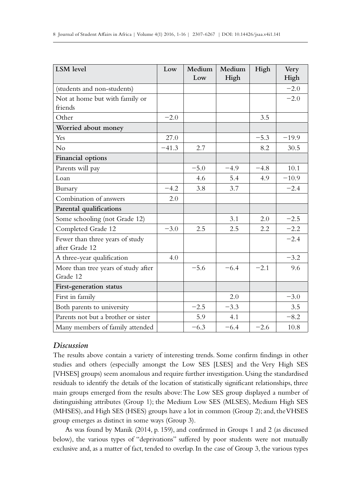| <b>LSM</b> level               | Low     | Medium | Medium | High   | Very    |
|--------------------------------|---------|--------|--------|--------|---------|
|                                |         | Low    | High   |        | High    |
| (students and non-students)    |         |        |        |        | $-2.0$  |
| Not at home but with family or |         |        |        |        | $-2.0$  |
| friends                        |         |        |        |        |         |
| Other                          | $-2.0$  |        |        | 3.5    |         |
| Worried about money            |         |        |        |        |         |
| Yes                            | 27.0    |        |        | $-5.3$ | $-19.9$ |
| No                             | $-41.3$ | 2.7    |        | 8.2    | 30.5    |
| Financial options              |         |        |        |        |         |
| Parents will pay               |         | $-5.0$ | $-4.9$ | $-4.8$ | 10.1    |
| Loan                           |         | 4.6    | 5.4    | 4.9    | $-10.9$ |
| Bursary                        | $-4.2$  | 3.8    | 3.7    |        | $-2.4$  |
| Combination of answers         | 2.0     |        |        |        |         |
| Parental qualifications        |         |        |        |        |         |
| Some schooling (not Grade 12)  |         |        | 3.1    | 2.0    | $-2.5$  |

Completed Grade 12 −3.0 2.5 2.5 2.2 −2.2

A three-year qualification  $\begin{vmatrix} 4.0 \end{vmatrix}$   $\begin{vmatrix} 4.0 \end{vmatrix}$   $\begin{vmatrix} -3.2 \end{vmatrix}$ 

First in family 2.0 −3.0 Both parents to university  $-2.5 \left| \right. -3.3 \left| \right. 3.5 \left. \right.$  3.5 Parents not but a brother or sister  $\vert$  5.9 4.1  $\vert$  −8.2 Many members of family attended  $-6.3$   $-6.4$   $-2.6$  10.8

 $-2.4$ 

 $-5.6$   $-6.4$   $-2.1$  9.6

# *Discussion*

after Grade 12

Grade 12

Fewer than three years of study

More than tree years of study after

**First-generation status**

The results above contain a variety of interesting trends. Some confirm findings in other studies and others (especially amongst the Low SES [LSES] and the Very High SES [VHSES] groups) seem anomalous and require further investigation. Using the standardised residuals to identify the details of the location of statistically significant relationships, three main groups emerged from the results above: The Low SES group displayed a number of distinguishing attributes (Group 1); the Medium Low SES (MLSES), Medium High SES (MHSES), and High SES (HSES) groups have a lot in common (Group 2); and, the VHSES group emerges as distinct in some ways (Group 3).

As was found by Manik (2014, p. 159), and confirmed in Groups 1 and 2 (as discussed below), the various types of "deprivations" suffered by poor students were not mutually exclusive and, as a matter of fact, tended to overlap. In the case of Group 3, the various types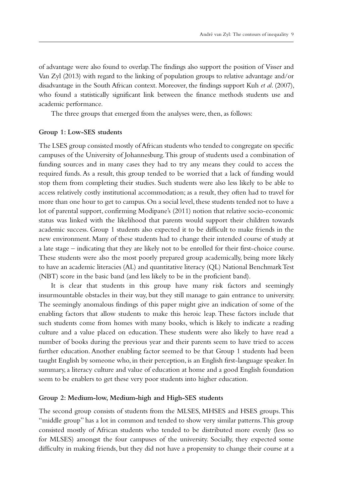of advantage were also found to overlap. The findings also support the position of Visser and Van Zyl (2013) with regard to the linking of population groups to relative advantage and/or disadvantage in the South African context. Moreover, the findings support Kuh *et al*. (2007), who found a statistically significant link between the finance methods students use and academic performance.

The three groups that emerged from the analyses were, then, as follows:

#### **Group 1: Low-SES students**

The LSES group consisted mostly of African students who tended to congregate on specific campuses of the University of Johannesburg. This group of students used a combination of funding sources and in many cases they had to try any means they could to access the required funds. As a result, this group tended to be worried that a lack of funding would stop them from completing their studies. Such students were also less likely to be able to access relatively costly institutional accommodation; as a result, they often had to travel for more than one hour to get to campus. On a social level, these students tended not to have a lot of parental support, confirming Modipane's (2011) notion that relative socio-economic status was linked with the likelihood that parents would support their children towards academic success. Group 1 students also expected it to be difficult to make friends in the new environment. Many of these students had to change their intended course of study at a late stage – indicating that they are likely not to be enrolled for their first-choice course. These students were also the most poorly prepared group academically, being more likely to have an academic literacies (AL) and quantitative literacy (QL) National Benchmark Test (NBT) score in the basic band (and less likely to be in the proficient band).

It is clear that students in this group have many risk factors and seemingly insurmountable obstacles in their way, but they still manage to gain entrance to university. The seemingly anomalous findings of this paper might give an indication of some of the enabling factors that allow students to make this heroic leap. These factors include that such students come from homes with many books, which is likely to indicate a reading culture and a value placed on education. These students were also likely to have read a number of books during the previous year and their parents seem to have tried to access further education. Another enabling factor seemed to be that Group 1 students had been taught English by someone who, in their perception, is an English first-language speaker. In summary, a literacy culture and value of education at home and a good English foundation seem to be enablers to get these very poor students into higher education.

#### **Group 2: Medium-low, Medium-high and High-SES students**

The second group consists of students from the MLSES, MHSES and HSES groups. This "middle group" has a lot in common and tended to show very similar patterns. This group consisted mostly of African students who tended to be distributed more evenly (less so for MLSES) amongst the four campuses of the university. Socially, they expected some difficulty in making friends, but they did not have a propensity to change their course at a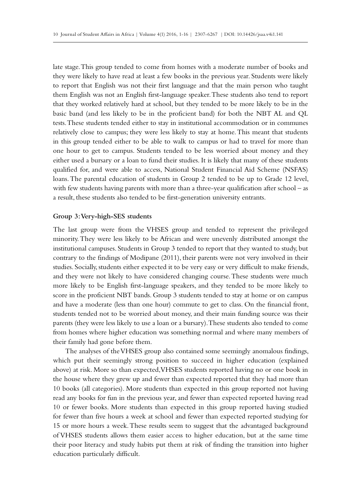late stage. This group tended to come from homes with a moderate number of books and they were likely to have read at least a few books in the previous year. Students were likely to report that English was not their first language and that the main person who taught them English was not an English first-language speaker. These students also tend to report that they worked relatively hard at school, but they tended to be more likely to be in the basic band (and less likely to be in the proficient band) for both the NBT AL and QL tests. These students tended either to stay in institutional accommodation or in communes relatively close to campus; they were less likely to stay at home. This meant that students in this group tended either to be able to walk to campus or had to travel for more than one hour to get to campus. Students tended to be less worried about money and they either used a bursary or a loan to fund their studies. It is likely that many of these students qualified for, and were able to access, National Student Financial Aid Scheme (NSFAS) loans. The parental education of students in Group 2 tended to be up to Grade 12 level, with few students having parents with more than a three-year qualification after school – as a result, these students also tended to be first-generation university entrants.

#### **Group 3: Very-high-SES students**

The last group were from the VHSES group and tended to represent the privileged minority. They were less likely to be African and were unevenly distributed amongst the institutional campuses. Students in Group 3 tended to report that they wanted to study, but contrary to the findings of Modipane (2011), their parents were not very involved in their studies. Socially, students either expected it to be very easy or very difficult to make friends, and they were not likely to have considered changing course. These students were much more likely to be English first-language speakers, and they tended to be more likely to score in the proficient NBT bands. Group 3 students tended to stay at home or on campus and have a moderate (less than one hour) commute to get to class. On the financial front, students tended not to be worried about money, and their main funding source was their parents (they were less likely to use a loan or a bursary). These students also tended to come from homes where higher education was something normal and where many members of their family had gone before them.

The analyses of the VHSES group also contained some seemingly anomalous findings, which put their seemingly strong position to succeed in higher education (explained above) at risk. More so than expected, VHSES students reported having no or one book in the house where they grew up and fewer than expected reported that they had more than 10 books (all categories). More students than expected in this group reported not having read any books for fun in the previous year, and fewer than expected reported having read 10 or fewer books. More students than expected in this group reported having studied for fewer than five hours a week at school and fewer than expected reported studying for 15 or more hours a week. These results seem to suggest that the advantaged background of VHSES students allows them easier access to higher education, but at the same time their poor literacy and study habits put them at risk of finding the transition into higher education particularly difficult.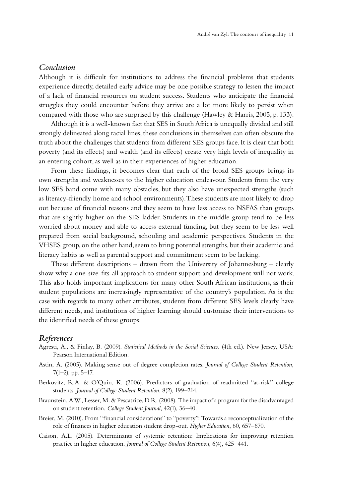# *Conclusion*

Although it is difficult for institutions to address the financial problems that students experience directly, detailed early advice may be one possible strategy to lessen the impact of a lack of financial resources on student success. Students who anticipate the financial struggles they could encounter before they arrive are a lot more likely to persist when compared with those who are surprised by this challenge (Hawley & Harris, 2005, p. 133).

Although it is a well-known fact that SES in South Africa is unequally divided and still strongly delineated along racial lines, these conclusions in themselves can often obscure the truth about the challenges that students from different SES groups face. It is clear that both poverty (and its effects) and wealth (and its effects) create very high levels of inequality in an entering cohort, as well as in their experiences of higher education.

From these findings, it becomes clear that each of the broad SES groups brings its own strengths and weaknesses to the higher education endeavour. Students from the very low SES band come with many obstacles, but they also have unexpected strengths (such as literacy-friendly home and school environments). These students are most likely to drop out because of financial reasons and they seem to have less access to NSFAS than groups that are slightly higher on the SES ladder. Students in the middle group tend to be less worried about money and able to access external funding, but they seem to be less well prepared from social background, schooling and academic perspectives. Students in the VHSES group, on the other hand, seem to bring potential strengths, but their academic and literacy habits as well as parental support and commitment seem to be lacking.

These different descriptions – drawn from the University of Johannesburg – clearly show why a one-size-fits-all approach to student support and development will not work. This also holds important implications for many other South African institutions, as their student populations are increasingly representative of the country's population. As is the case with regards to many other attributes, students from different SES levels clearly have different needs, and institutions of higher learning should customise their interventions to the identified needs of these groups.

#### *References*

- Agresti, A., & Finlay, B. (2009). *Statistical Methods in the Social Sciences.* (4th ed.). New Jersey, USA: Pearson International Edition.
- Astin, A. (2005). Making sense out of degree completion rates. *Journal of College Student Retention*, 7(1–2), pp. 5–17.
- Berkovitz, R.A. & O'Quin, K. (2006). Predictors of graduation of readmitted "at-risk" college students. *Journal of College Student Retention*, 8(2), 199–214.
- Braunstein, A.W., Lesser, M. & Pescatrice, D.R. (2008). The impact of a program for the disadvantaged on student retention. *College Student Journal*, 42(1), 36–40.
- Breier, M. (2010). From "financial considerations" to "poverty": Towards a reconceptualization of the role of finances in higher education student drop-out. *Higher Education*, 60, 657–670.
- Caison, A.L. (2005). Determinants of systemic retention: Implications for improving retention practice in higher education. *Journal of College Student Retention*, 6(4), 425–441.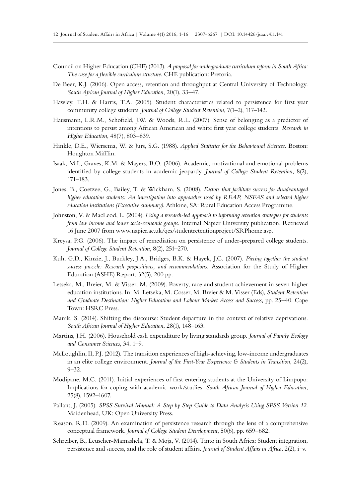- Council on Higher Education (CHE) (2013). *A proposal for undergraduate curriculum reform in South Africa: The case for a flexible curriculum structure.* CHE publication: Pretoria.
- De Beer, K.J. (2006). Open access, retention and throughput at Central University of Technology. *South African Journal of Higher Education*, 20(1), 33–47.
- Hawley, T.H. & Harris, T.A. (2005). Student characteristics related to persistence for first year community college students. *Journal of College Student Retention*, 7(1–2), 117–142.
- Hausmann, L.R.M., Schofield, J.W. & Woods, R.L. (2007). Sense of belonging as a predictor of intentions to persist among African American and white first year college students. *Research in Higher Education*, 48(7), 803–839.
- Hinkle, D.E., Wiersema, W. & Jurs, S.G. (1988). *Applied Statistics for the Behavioural Sciences.* Boston: Houghton Mifflin.
- Isaak, M.I., Graves, K.M. & Mayers, B.O. (2006). Academic, motivational and emotional problems identified by college students in academic jeopardy. *Journal of College Student Retention*, 8(2), 171–183.
- Jones, B., Coetzee, G., Bailey, T. & Wickham, S. (2008). *Factors that facilitate success for disadvantaged higher education students: An investigation into approaches used by REAP, NSFAS and selected higher education institutions (Executive summary)*. Athlone, SA: Rural Education Access Programme.
- Johnston, V. & MacLeod, L. (2004). *Using a research-led approach to informing retention strategies for students from low income and lower socio-economic groups*. Internal Napier University publication. Retrieved 16 June 2007 from www.napier.ac.uk/qes/studentretentionproject/SRPhome.asp.
- Kreysa, P.G. (2006). The impact of remediation on persistence of under-prepared college students. *Journal of College Student Retention*, 8(2), 251–270.
- Kuh, G.D., Kinzie, J., Buckley, J.A., Bridges, B.K. & Hayek, J.C. (2007). *Piecing together the student success puzzle: Research propositions, and recommendations.* Association for the Study of Higher Education (ASHE) Report, 32(5), 200 pp.
- Letseka, M., Breier, M. & Visser, M. (2009). Poverty, race and student achievement in seven higher education institutions. In: M. Letseka, M. Cosser, M. Breier & M. Visser (Eds), *Student Retention and Graduate Destination: Higher Education and Labour Market Access and Success,* pp. 25–40. Cape Town: HSRC Press.
- Manik, S. (2014). Shifting the discourse: Student departure in the context of relative deprivations. *South African Journal of Higher Education*, 28(1), 148–163.
- Martins, J.H. (2006). Household cash expenditure by living standards group. *Journal of Family Ecology and Consumer Sciences*, 34, 1–9.
- McLoughlin, II, P.J. (2012). The transition experiences of high-achieving, low-income undergraduates in an elite college environment. *Journal of the First-Year Experience & Students in Transition*, 24(2), 9–32.
- Modipane, M.C. (2011). Initial experiences of first entering students at the University of Limpopo: Implications for coping with academic work/studies. *South African Journal of Higher Education*, 25(8), 1592–1607.
- Pallant, J. (2005). *SPSS Survival Manual: A Step by Step Guide to Data Analysis Using SPSS Version 12*. Maidenhead, UK: Open University Press.
- Reason, R.D. (2009). An examination of persistence research through the lens of a comprehensive conceptual framework. *Journal of College Student Development*, 50(6), pp. 659–682.
- Schreiber, B., Leuscher-Mamashela, T. & Moja, V. (2014). Tinto in South Africa: Student integration, persistence and success, and the role of student affairs. *Journal of Student Affairs in Africa*, 2(2), i–v.